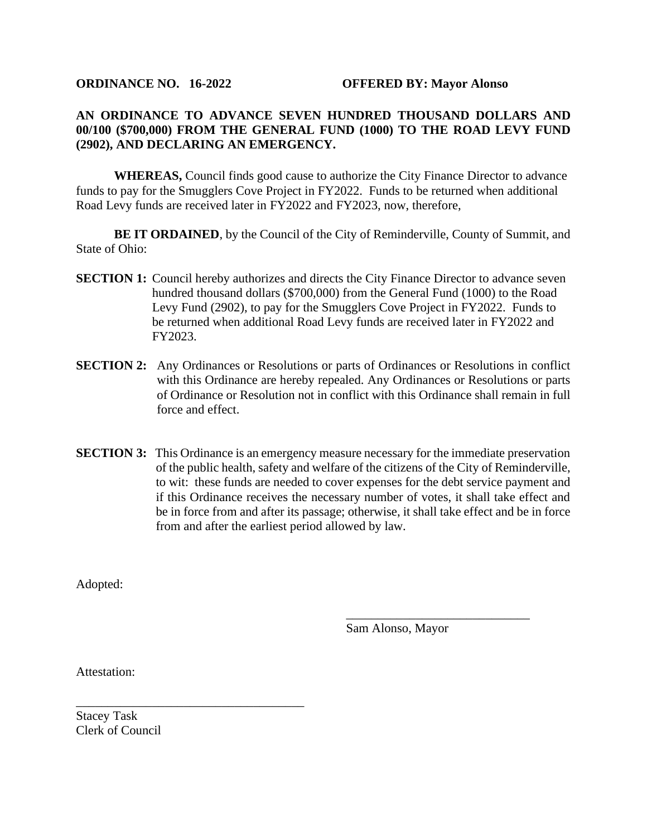## **AN ORDINANCE TO ADVANCE SEVEN HUNDRED THOUSAND DOLLARS AND 00/100 (\$700,000) FROM THE GENERAL FUND (1000) TO THE ROAD LEVY FUND (2902), AND DECLARING AN EMERGENCY.**

**WHEREAS,** Council finds good cause to authorize the City Finance Director to advance funds to pay for the Smugglers Cove Project in FY2022. Funds to be returned when additional Road Levy funds are received later in FY2022 and FY2023, now, therefore,

**BE IT ORDAINED**, by the Council of the City of Reminderville, County of Summit, and State of Ohio:

- **SECTION 1:** Council hereby authorizes and directs the City Finance Director to advance seven hundred thousand dollars (\$700,000) from the General Fund (1000) to the Road Levy Fund (2902), to pay for the Smugglers Cove Project in FY2022. Funds to be returned when additional Road Levy funds are received later in FY2022 and FY2023.
- **SECTION 2:** Any Ordinances or Resolutions or parts of Ordinances or Resolutions in conflict with this Ordinance are hereby repealed. Any Ordinances or Resolutions or parts of Ordinance or Resolution not in conflict with this Ordinance shall remain in full force and effect.
- **SECTION 3:** This Ordinance is an emergency measure necessary for the immediate preservation of the public health, safety and welfare of the citizens of the City of Reminderville, to wit: these funds are needed to cover expenses for the debt service payment and if this Ordinance receives the necessary number of votes, it shall take effect and be in force from and after its passage; otherwise, it shall take effect and be in force from and after the earliest period allowed by law.

Adopted:

Sam Alonso, Mayor

\_\_\_\_\_\_\_\_\_\_\_\_\_\_\_\_\_\_\_\_\_\_\_\_\_\_\_\_\_

Attestation:

Stacey Task Clerk of Council

\_\_\_\_\_\_\_\_\_\_\_\_\_\_\_\_\_\_\_\_\_\_\_\_\_\_\_\_\_\_\_\_\_\_\_\_